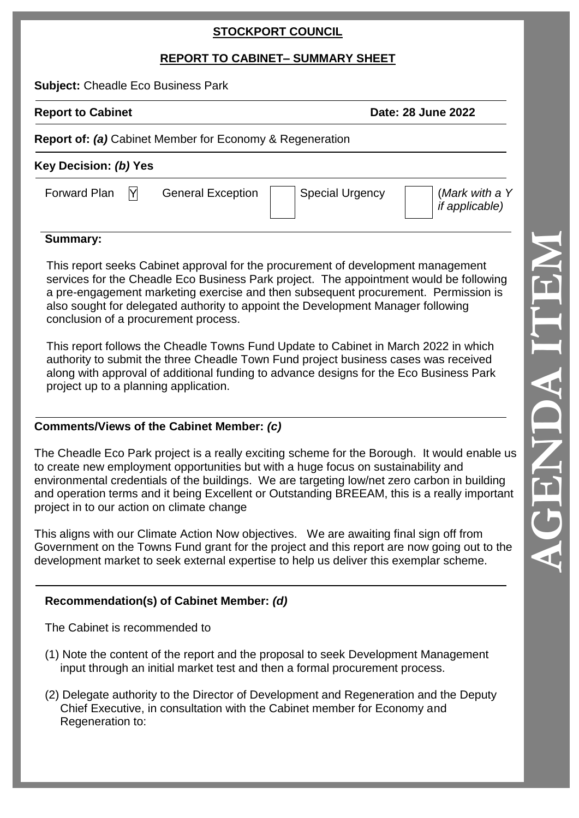## **STOCKPORT COUNCIL**

# **REPORT TO CABINET – SUMMARY SHEET**

**Subject:** Cheadle Eco Business Park

**Report to Cabinet Date: 28 June 2022** 

#### **Report of:** *(a)* Cabinet Member for Economy & Regeneration

# **Key Decision:** *(b)* **Yes**

Forward Plan

# $\vert \mathsf{Y} \vert$  General Exception  $\vert \mathsf{S} \vert$  Special Urgency

(*Mark with a Y if applicable)*

### **Summary:**

This report seeks Cabinet approval for the procurement of development management services for the Cheadle Eco Business Park project. The appointment would be following a pre -engagement marketing exercise and then subsequent procurement. Permission is also sought for delegated authority to appoint the Development Manager following conclusion of a procurement process.

This report follows the Cheadle Towns Fund Update to Cabinet in March 2022 in which authority to submit the three Cheadle Town Fund project business cases was received along with approval of additional funding to advance designs for the Eco Business Park project up to a planning application.

### **Comments/Views of the Cabinet Member:** *(c)*

The Cheadle Eco Park project is a really exciting scheme for the Borough. It would enable us to create new employment opportunities but with a huge focus on sustainability and environmental credentials of the buildings. We are targeting low/net zero carbon in building and operation terms and it being Excellent or Outstanding BREEAM, this is a really important project in to our action on climate change

This aligns with our Climate Action Now objectives. We are awaiting final sign off from Government on the Towns Fund grant for the project and this report are now going out to the development market to seek external expertise to help us deliver this exemplar scheme.

# **Recommendation(s) of Cabinet Member:** *(d)*

The Cabinet is recommended to

- (1) Note the content of the report and the proposal to seek Development Management input through an initial market test and then a formal procurement process.
- (2) Delegate authority to the Director of Development and Regeneration and the Deputy Chief Executive, in consultation with the Cabinet member for Economy and Regeneration to: